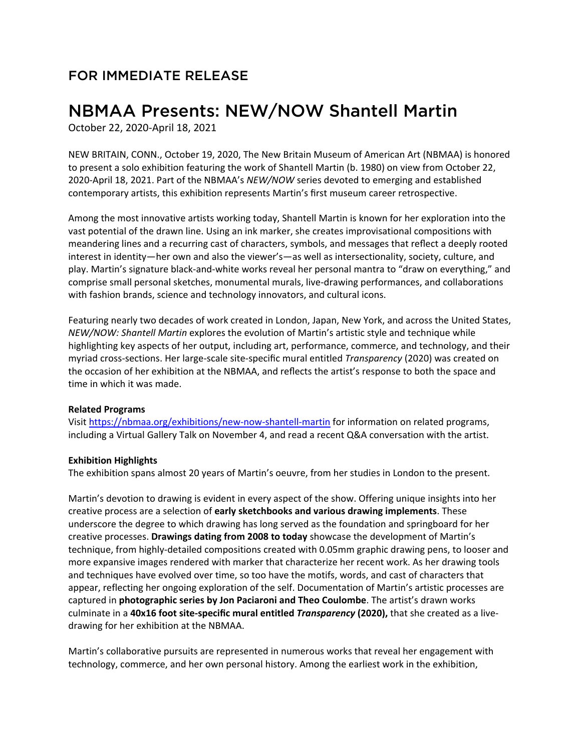## FOR IMMEDIATE RELEASE

# NBMAA Presents: NEW/NOW Shantell Martin

October 22, 2020-April 18, 2021

NEW BRITAIN, CONN., October 19, 2020, The New Britain Museum of American Art (NBMAA) is honored to present a solo exhibition featuring the work of Shantell Martin (b. 1980) on view from October 22, 2020-April 18, 2021. Part of the NBMAA's *NEW/NOW* series devoted to emerging and established contemporary artists, this exhibition represents Martin's first museum career retrospective.

Among the most innovative artists working today, Shantell Martin is known for her exploration into the vast potential of the drawn line. Using an ink marker, she creates improvisational compositions with meandering lines and a recurring cast of characters, symbols, and messages that reflect a deeply rooted interest in identity—her own and also the viewer's—as well as intersectionality, society, culture, and play. Martin's signature black-and-white works reveal her personal mantra to "draw on everything," and comprise small personal sketches, monumental murals, live-drawing performances, and collaborations with fashion brands, science and technology innovators, and cultural icons.

Featuring nearly two decades of work created in London, Japan, New York, and across the United States, *NEW/NOW: Shantell Martin* explores the evolution of Martin's artistic style and technique while highlighting key aspects of her output, including art, performance, commerce, and technology, and their myriad cross-sections. Her large-scale site-specific mural entitled *Transparency* (2020) was created on the occasion of her exhibition at the NBMAA, and reflects the artist's response to both the space and time in which it was made.

#### **Related Programs**

Visit<https://nbmaa.org/exhibitions/new-now-shantell-martin> for information on related programs, including a Virtual Gallery Talk on November 4, and read a recent Q&A conversation with the artist.

### **Exhibition Highlights**

The exhibition spans almost 20 years of Martin's oeuvre, from her studies in London to the present.

Martin's devotion to drawing is evident in every aspect of the show. Offering unique insights into her creative process are a selection of **early sketchbooks and various drawing implements**. These underscore the degree to which drawing has long served as the foundation and springboard for her creative processes. **Drawings dating from 2008 to today** showcase the development of Martin's technique, from highly-detailed compositions created with 0.05mm graphic drawing pens, to looser and more expansive images rendered with marker that characterize her recent work. As her drawing tools and techniques have evolved over time, so too have the motifs, words, and cast of characters that appear, reflecting her ongoing exploration of the self. Documentation of Martin's artistic processes are captured in **photographic series by Jon Paciaroni and Theo Coulombe**. The artist's drawn works culminate in a **40x16 foot site-specific mural entitled** *Transparency* **(2020),** that she created as a livedrawing for her exhibition at the NBMAA.

Martin's collaborative pursuits are represented in numerous works that reveal her engagement with technology, commerce, and her own personal history. Among the earliest work in the exhibition,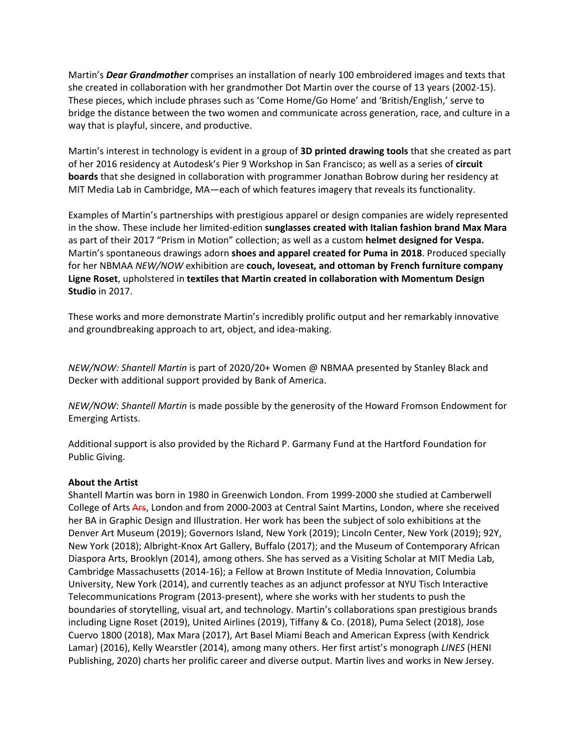Martin's *Dear Grandmother* comprises an installation of nearly 100 embroidered images and texts that she created in collaboration with her grandmother Dot Martin over the course of 13 years (2002-15). These pieces, which include phrases such as 'Come Home/Go Home' and 'British/English,' serve to bridge the distance between the two women and communicate across generation, race, and culture in a way that is playful, sincere, and productive.

Martin's interest in technology is evident in a group of **3D printed drawing tools** that she created as part of her 2016 residency at Autodesk's Pier 9 Workshop in San Francisco; as well as a series of **circuit boards** that she designed in collaboration with programmer Jonathan Bobrow during her residency at MIT Media Lab in Cambridge, MA—each of which features imagery that reveals its functionality.

Examples of Martin's partnerships with prestigious apparel or design companies are widely represented in the show. These include her limited-edition **sunglasses created with Italian fashion brand Max Mara** as part of their 2017 "Prism in Motion" collection; as well as a custom **helmet designed for Vespa.** Martin's spontaneous drawings adorn **shoes and apparel created for Puma in 2018**. Produced specially for her NBMAA *NEW/NOW* exhibition are **couch, loveseat, and ottoman by French furniture company Ligne Roset**, upholstered in **textiles that Martin created in collaboration with Momentum Design Studio** in 2017.

These works and more demonstrate Martin's incredibly prolific output and her remarkably innovative and groundbreaking approach to art, object, and idea-making.

*NEW/NOW: Shantell Martin* is part of 2020/20+ Women @ NBMAA presented by Stanley Black and Decker with additional support provided by Bank of America.

*NEW/NOW: Shantell Martin* is made possible by the generosity of the Howard Fromson Endowment for Emerging Artists.

Additional support is also provided by the Richard P. Garmany Fund at the Hartford Foundation for Public Giving.

#### **About the Artist**

Shantell Martin was born in 1980 in Greenwich London. From 1999-2000 she studied at Camberwell College of Arts Ars, London and from 2000-2003 at Central Saint Martins, London, where she received her BA in Graphic Design and Illustration. Her work has been the subject of solo exhibitions at the Denver Art Museum (2019); Governors Island, New York (2019); Lincoln Center, New York (2019); 92Y, New York (2018); Albright-Knox Art Gallery, Buffalo (2017); and the Museum of Contemporary African Diaspora Arts, Brooklyn (2014), among others. She has served as a Visiting Scholar at MIT Media Lab, Cambridge Massachusetts (2014-16); a Fellow at Brown Institute of Media Innovation, Columbia University, New York (2014), and currently teaches as an adjunct professor at NYU Tisch Interactive Telecommunications Program (2013-present), where she works with her students to push the boundaries of storytelling, visual art, and technology. Martin's collaborations span prestigious brands including Ligne Roset (2019), United Airlines (2019), Tiffany & Co. (2018), Puma Select (2018), Jose Cuervo 1800 (2018), Max Mara (2017), Art Basel Miami Beach and American Express (with Kendrick Lamar) (2016), Kelly Wearstler (2014), among many others. Her first artist's monograph *LINES* (HENI Publishing, 2020) charts her prolific career and diverse output. Martin lives and works in New Jersey.